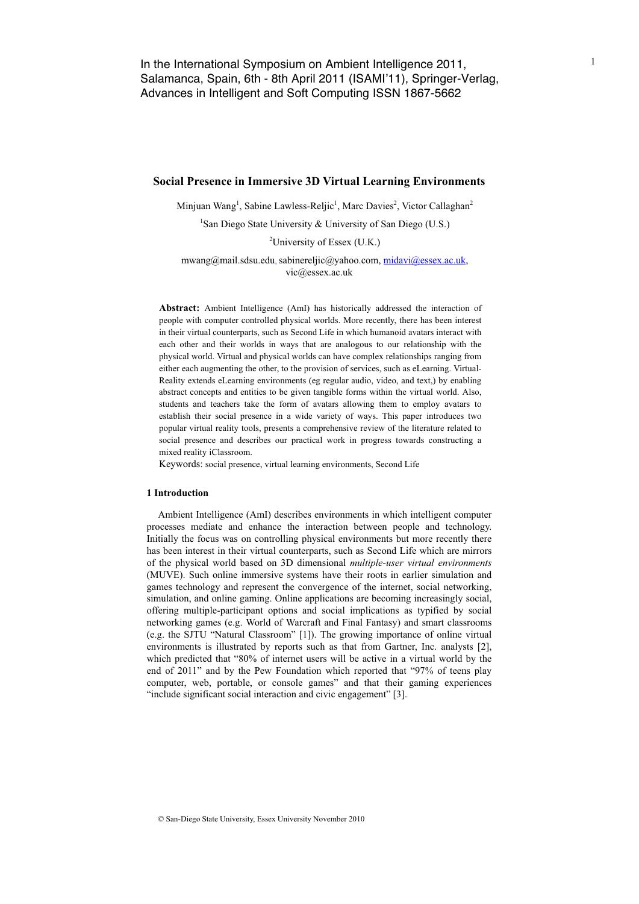# **Social Presence in Immersive 3D Virtual Learning Environments**

Minjuan Wang<sup>1</sup>, Sabine Lawless-Reljic<sup>1</sup>, Marc Davies<sup>2</sup>, Victor Callaghan<sup>2</sup> <sup>1</sup>San Diego State University & University of San Diego (U.S.)

<sup>2</sup>University of Essex (U.K.)

mwang@mail.sdsu.edu, sabinereljic@yahoo.com, midavi@essex.ac.uk, vic@essex.ac.uk

**Abstract:** Ambient Intelligence (AmI) has historically addressed the interaction of people with computer controlled physical worlds. More recently, there has been interest in their virtual counterparts, such as Second Life in which humanoid avatars interact with each other and their worlds in ways that are analogous to our relationship with the physical world. Virtual and physical worlds can have complex relationships ranging from either each augmenting the other, to the provision of services, such as eLearning. Virtual-Reality extends eLearning environments (eg regular audio, video, and text,) by enabling abstract concepts and entities to be given tangible forms within the virtual world. Also, students and teachers take the form of avatars allowing them to employ avatars to establish their social presence in a wide variety of ways. This paper introduces two popular virtual reality tools, presents a comprehensive review of the literature related to social presence and describes our practical work in progress towards constructing a mixed reality iClassroom.

Keywords: social presence, virtual learning environments, Second Life

#### **1 Introduction**

Ambient Intelligence (AmI) describes environments in which intelligent computer processes mediate and enhance the interaction between people and technology. Initially the focus was on controlling physical environments but more recently there has been interest in their virtual counterparts, such as Second Life which are mirrors of the physical world based on 3D dimensional *multiple-user virtual environments* (MUVE). Such online immersive systems have their roots in earlier simulation and games technology and represent the convergence of the internet, social networking, simulation, and online gaming. Online applications are becoming increasingly social, offering multiple-participant options and social implications as typified by social networking games (e.g. World of Warcraft and Final Fantasy) and smart classrooms (e.g. the SJTU "Natural Classroom" [1]). The growing importance of online virtual environments is illustrated by reports such as that from Gartner, Inc. analysts [2], which predicted that "80% of internet users will be active in a virtual world by the end of 2011" and by the Pew Foundation which reported that "97% of teens play computer, web, portable, or console games" and that their gaming experiences "include significant social interaction and civic engagement" [3].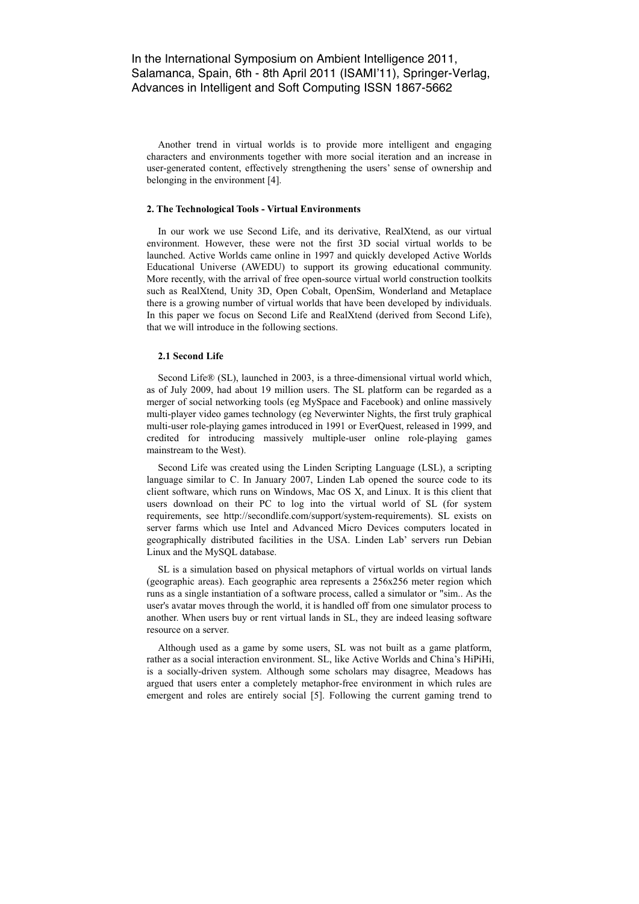Another trend in virtual worlds is to provide more intelligent and engaging characters and environments together with more social iteration and an increase in user-generated content, effectively strengthening the users' sense of ownership and belonging in the environment [4].

### **2. The Technological Tools - Virtual Environments**

In our work we use Second Life, and its derivative, RealXtend, as our virtual environment. However, these were not the first 3D social virtual worlds to be launched. Active Worlds came online in 1997 and quickly developed Active Worlds Educational Universe (AWEDU) to support its growing educational community. More recently, with the arrival of free open-source virtual world construction toolkits such as RealXtend, Unity 3D, Open Cobalt, OpenSim, Wonderland and Metaplace there is a growing number of virtual worlds that have been developed by individuals. In this paper we focus on Second Life and RealXtend (derived from Second Life), that we will introduce in the following sections.

#### **2.1 Second Life**

Second Life® (SL), launched in 2003, is a three-dimensional virtual world which, as of July 2009, had about 19 million users. The SL platform can be regarded as a merger of social networking tools (eg MySpace and Facebook) and online massively multi-player video games technology (eg Neverwinter Nights, the first truly graphical multi-user role-playing games introduced in 1991 or EverQuest, released in 1999, and credited for introducing massively multiple-user online role-playing games mainstream to the West).

Second Life was created using the Linden Scripting Language (LSL), a scripting language similar to C. In January 2007, Linden Lab opened the source code to its client software, which runs on Windows, Mac OS X, and Linux. It is this client that users download on their PC to log into the virtual world of SL (for system requirements, see http://secondlife.com/support/system-requirements). SL exists on server farms which use Intel and Advanced Micro Devices computers located in geographically distributed facilities in the USA. Linden Lab' servers run Debian Linux and the MySQL database.

SL is a simulation based on physical metaphors of virtual worlds on virtual lands (geographic areas). Each geographic area represents a 256x256 meter region which runs as a single instantiation of a software process, called a simulator or "sim.. As the user's avatar moves through the world, it is handled off from one simulator process to another. When users buy or rent virtual lands in SL, they are indeed leasing software resource on a server.

Although used as a game by some users, SL was not built as a game platform, rather as a social interaction environment. SL, like Active Worlds and China's HiPiHi, is a socially-driven system. Although some scholars may disagree, Meadows has argued that users enter a completely metaphor-free environment in which rules are emergent and roles are entirely social [5]. Following the current gaming trend to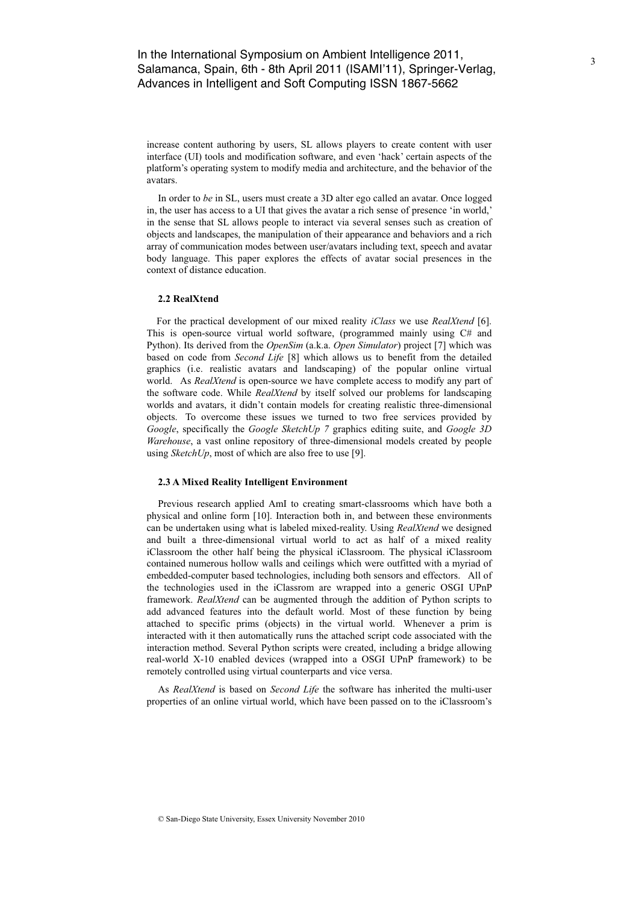# man momalismar Symposium Smalinsism misliginos 2011,<br>Salamanca, Spain, 6th - 8th April 2011 (ISAMI'11), Springer-Verlag, In the International Symposium on Ambient Intelligence 2011, Advances in Intelligent and Soft Computing ISSN 1867-5662

increase content authoring by users, SL allows players to create content with user interface (UI) tools and modification software, and even 'hack' certain aspects of the platform's operating system to modify media and architecture, and the behavior of the avatars.

In order to *be* in SL, users must create a 3D alter ego called an avatar. Once logged in, the user has access to a UI that gives the avatar a rich sense of presence 'in world,' in the sense that SL allows people to interact via several senses such as creation of objects and landscapes, the manipulation of their appearance and behaviors and a rich array of communication modes between user/avatars including text, speech and avatar body language. This paper explores the effects of avatar social presences in the context of distance education.

## **2.2 RealXtend**

For the practical development of our mixed reality *iClass* we use *RealXtend* [6]. This is open-source virtual world software, (programmed mainly using C# and Python). Its derived from the *OpenSim* (a.k.a. *Open Simulator*) project [7] which was based on code from *Second Life* [8] which allows us to benefit from the detailed graphics (i.e. realistic avatars and landscaping) of the popular online virtual world. As *RealXtend* is open-source we have complete access to modify any part of the software code. While *RealXtend* by itself solved our problems for landscaping worlds and avatars, it didn't contain models for creating realistic three-dimensional objects. To overcome these issues we turned to two free services provided by *Google*, specifically the *Google SketchUp 7* graphics editing suite, and *Google 3D Warehouse*, a vast online repository of three-dimensional models created by people using *SketchUp*, most of which are also free to use [9].

#### **2.3 A Mixed Reality Intelligent Environment**

Previous research applied AmI to creating smart-classrooms which have both a physical and online form [10]. Interaction both in, and between these environments can be undertaken using what is labeled mixed-reality. Using *RealXtend* we designed and built a three-dimensional virtual world to act as half of a mixed reality iClassroom the other half being the physical iClassroom. The physical iClassroom contained numerous hollow walls and ceilings which were outfitted with a myriad of embedded-computer based technologies, including both sensors and effectors. All of the technologies used in the iClassrom are wrapped into a generic OSGI UPnP framework. *RealXtend* can be augmented through the addition of Python scripts to add advanced features into the default world. Most of these function by being attached to specific prims (objects) in the virtual world. Whenever a prim is interacted with it then automatically runs the attached script code associated with the interaction method. Several Python scripts were created, including a bridge allowing real-world X-10 enabled devices (wrapped into a OSGI UPnP framework) to be remotely controlled using virtual counterparts and vice versa.

As *RealXtend* is based on *Second Life* the software has inherited the multi-user properties of an online virtual world, which have been passed on to the iClassroom's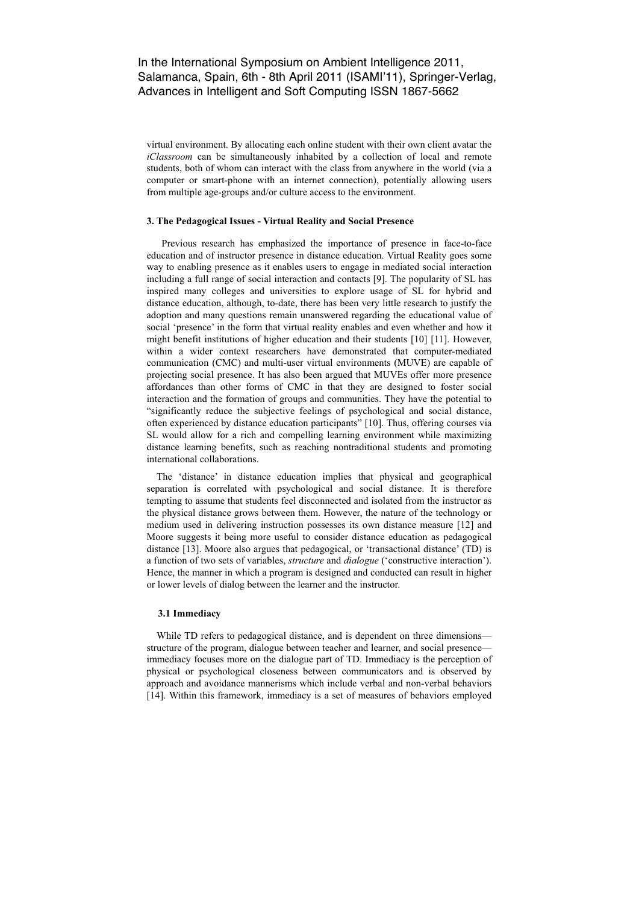virtual environment. By allocating each online student with their own client avatar the *iClassroom* can be simultaneously inhabited by a collection of local and remote students, both of whom can interact with the class from anywhere in the world (via a computer or smart-phone with an internet connection), potentially allowing users from multiple age-groups and/or culture access to the environment.

### **3. The Pedagogical Issues - Virtual Reality and Social Presence**

Previous research has emphasized the importance of presence in face-to-face education and of instructor presence in distance education. Virtual Reality goes some way to enabling presence as it enables users to engage in mediated social interaction including a full range of social interaction and contacts [9]. The popularity of SL has inspired many colleges and universities to explore usage of SL for hybrid and distance education, although, to-date, there has been very little research to justify the adoption and many questions remain unanswered regarding the educational value of social 'presence' in the form that virtual reality enables and even whether and how it might benefit institutions of higher education and their students [10] [11]. However, within a wider context researchers have demonstrated that computer-mediated communication (CMC) and multi-user virtual environments (MUVE) are capable of projecting social presence. It has also been argued that MUVEs offer more presence affordances than other forms of CMC in that they are designed to foster social interaction and the formation of groups and communities. They have the potential to "significantly reduce the subjective feelings of psychological and social distance, often experienced by distance education participants" [10]. Thus, offering courses via SL would allow for a rich and compelling learning environment while maximizing distance learning benefits, such as reaching nontraditional students and promoting international collaborations.

The 'distance' in distance education implies that physical and geographical separation is correlated with psychological and social distance. It is therefore tempting to assume that students feel disconnected and isolated from the instructor as the physical distance grows between them. However, the nature of the technology or medium used in delivering instruction possesses its own distance measure [12] and Moore suggests it being more useful to consider distance education as pedagogical distance [13]. Moore also argues that pedagogical, or 'transactional distance' (TD) is a function of two sets of variables, *structure* and *dialogue* ('constructive interaction'). Hence, the manner in which a program is designed and conducted can result in higher or lower levels of dialog between the learner and the instructor.

#### **3.1 Immediacy**

While TD refers to pedagogical distance, and is dependent on three dimensions structure of the program, dialogue between teacher and learner, and social presence immediacy focuses more on the dialogue part of TD. Immediacy is the perception of physical or psychological closeness between communicators and is observed by approach and avoidance mannerisms which include verbal and non-verbal behaviors [14]. Within this framework, immediacy is a set of measures of behaviors employed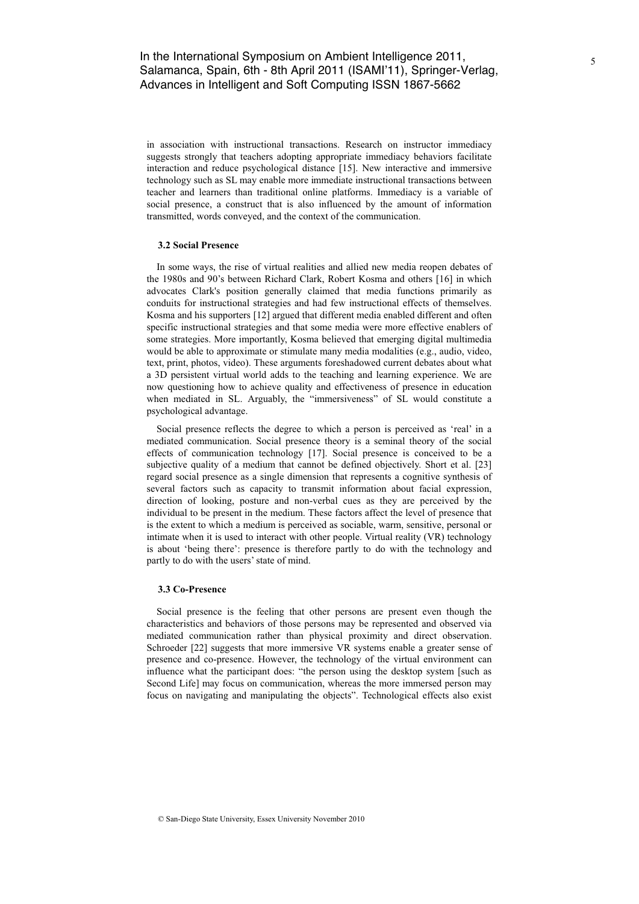# In the International Symposium on Ambient Intelligence 2011, Salamanca, Spain, 6th - 8th April 2011 (ISAMI'11), Springer-Verlag, Advances in Intelligent and Soft Computing ISSN 1867-5662

in association with instructional transactions. Research on instructor immediacy suggests strongly that teachers adopting appropriate immediacy behaviors facilitate interaction and reduce psychological distance [15]. New interactive and immersive technology such as SL may enable more immediate instructional transactions between teacher and learners than traditional online platforms. Immediacy is a variable of social presence, a construct that is also influenced by the amount of information transmitted, words conveyed, and the context of the communication.

#### **3.2 Social Presence**

In some ways, the rise of virtual realities and allied new media reopen debates of the 1980s and 90's between Richard Clark, Robert Kosma and others [16] in which advocates Clark's position generally claimed that media functions primarily as conduits for instructional strategies and had few instructional effects of themselves. Kosma and his supporters [12] argued that different media enabled different and often specific instructional strategies and that some media were more effective enablers of some strategies. More importantly, Kosma believed that emerging digital multimedia would be able to approximate or stimulate many media modalities (e.g., audio, video, text, print, photos, video). These arguments foreshadowed current debates about what a 3D persistent virtual world adds to the teaching and learning experience. We are now questioning how to achieve quality and effectiveness of presence in education when mediated in SL. Arguably, the "immersiveness" of SL would constitute a psychological advantage.

Social presence reflects the degree to which a person is perceived as 'real' in a mediated communication. Social presence theory is a seminal theory of the social effects of communication technology [17]. Social presence is conceived to be a subjective quality of a medium that cannot be defined objectively. Short et al. [23] regard social presence as a single dimension that represents a cognitive synthesis of several factors such as capacity to transmit information about facial expression, direction of looking, posture and non-verbal cues as they are perceived by the individual to be present in the medium. These factors affect the level of presence that is the extent to which a medium is perceived as sociable, warm, sensitive, personal or intimate when it is used to interact with other people. Virtual reality (VR) technology is about 'being there': presence is therefore partly to do with the technology and partly to do with the users' state of mind.

#### **3.3 Co-Presence**

Social presence is the feeling that other persons are present even though the characteristics and behaviors of those persons may be represented and observed via mediated communication rather than physical proximity and direct observation. Schroeder [22] suggests that more immersive VR systems enable a greater sense of presence and co-presence. However, the technology of the virtual environment can influence what the participant does: "the person using the desktop system [such as Second Life] may focus on communication, whereas the more immersed person may focus on navigating and manipulating the objects". Technological effects also exist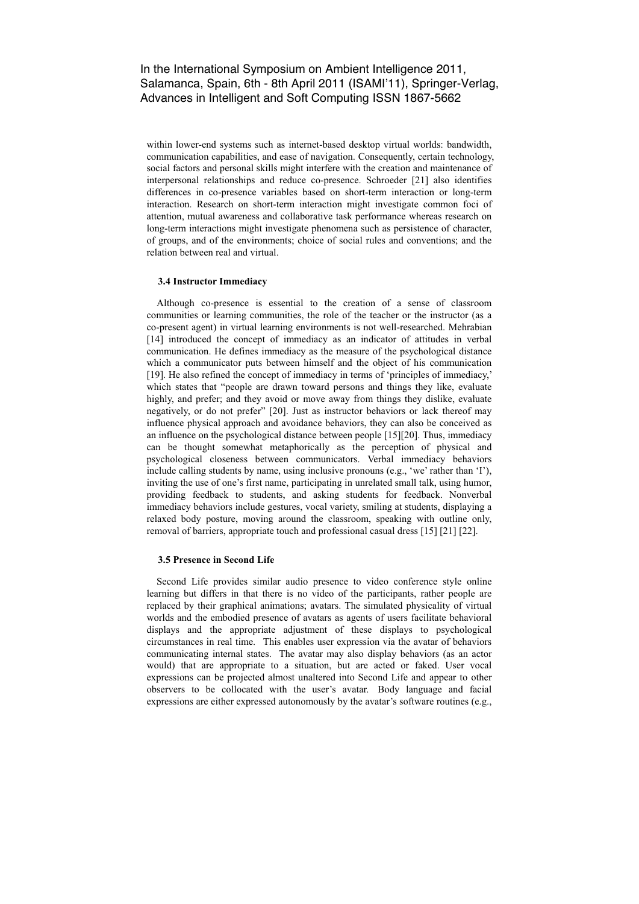In the International Symposium on Ambient Intelligence 2011, Salamanca, Spain, 6th - 8th April 2011 (ISAMI'11), Springer-Verlag, Advances in Intelligent and Soft Computing ISSN 1867-5662

within lower-end systems such as internet-based desktop virtual worlds: bandwidth, communication capabilities, and ease of navigation. Consequently, certain technology, social factors and personal skills might interfere with the creation and maintenance of interpersonal relationships and reduce co-presence. Schroeder [21] also identifies differences in co-presence variables based on short-term interaction or long-term interaction. Research on short-term interaction might investigate common foci of attention, mutual awareness and collaborative task performance whereas research on long-term interactions might investigate phenomena such as persistence of character, of groups, and of the environments; choice of social rules and conventions; and the relation between real and virtual.

#### **3.4 Instructor Immediacy**

Although co-presence is essential to the creation of a sense of classroom communities or learning communities, the role of the teacher or the instructor (as a co-present agent) in virtual learning environments is not well-researched. Mehrabian [14] introduced the concept of immediacy as an indicator of attitudes in verbal communication. He defines immediacy as the measure of the psychological distance which a communicator puts between himself and the object of his communication [19]. He also refined the concept of immediacy in terms of 'principles of immediacy,' which states that "people are drawn toward persons and things they like, evaluate highly, and prefer; and they avoid or move away from things they dislike, evaluate negatively, or do not prefer" [20]. Just as instructor behaviors or lack thereof may influence physical approach and avoidance behaviors, they can also be conceived as an influence on the psychological distance between people [15][20]. Thus, immediacy can be thought somewhat metaphorically as the perception of physical and psychological closeness between communicators. Verbal immediacy behaviors include calling students by name, using inclusive pronouns (e.g., 'we' rather than 'I'), inviting the use of one's first name, participating in unrelated small talk, using humor, providing feedback to students, and asking students for feedback. Nonverbal immediacy behaviors include gestures, vocal variety, smiling at students, displaying a relaxed body posture, moving around the classroom, speaking with outline only, removal of barriers, appropriate touch and professional casual dress [15] [21] [22].

#### **3.5 Presence in Second Life**

Second Life provides similar audio presence to video conference style online learning but differs in that there is no video of the participants, rather people are replaced by their graphical animations; avatars. The simulated physicality of virtual worlds and the embodied presence of avatars as agents of users facilitate behavioral displays and the appropriate adjustment of these displays to psychological circumstances in real time. This enables user expression via the avatar of behaviors communicating internal states. The avatar may also display behaviors (as an actor would) that are appropriate to a situation, but are acted or faked. User vocal expressions can be projected almost unaltered into Second Life and appear to other observers to be collocated with the user's avatar. Body language and facial expressions are either expressed autonomously by the avatar's software routines (e.g.,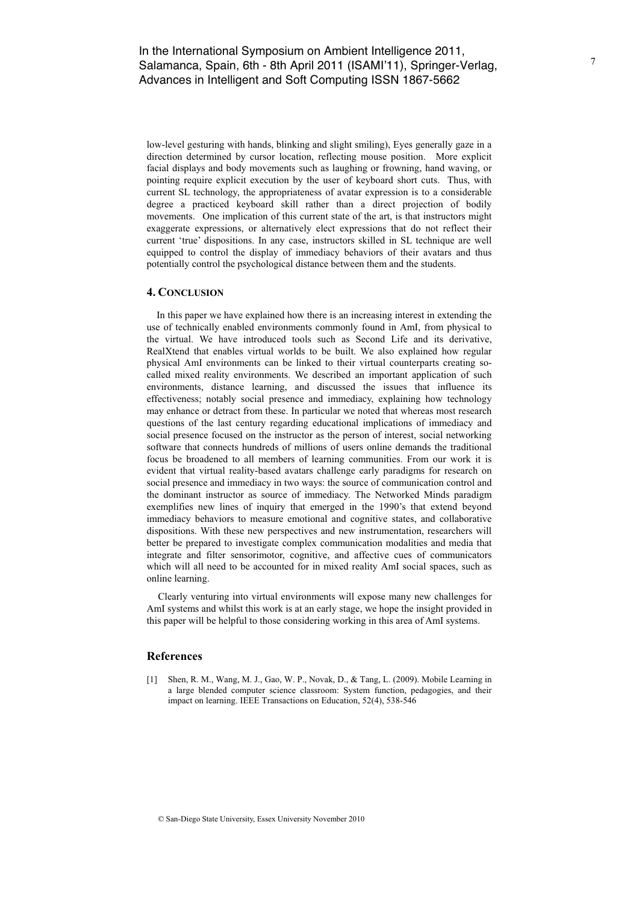low-level gesturing with hands, blinking and slight smiling), Eyes generally gaze in a direction determined by cursor location, reflecting mouse position. More explicit facial displays and body movements such as laughing or frowning, hand waving, or pointing require explicit execution by the user of keyboard short cuts. Thus, with current SL technology, the appropriateness of avatar expression is to a considerable degree a practiced keyboard skill rather than a direct projection of bodily movements. One implication of this current state of the art, is that instructors might exaggerate expressions, or alternatively elect expressions that do not reflect their current 'true' dispositions. In any case, instructors skilled in SL technique are well equipped to control the display of immediacy behaviors of their avatars and thus potentially control the psychological distance between them and the students.

## **4. CONCLUSION**

In this paper we have explained how there is an increasing interest in extending the use of technically enabled environments commonly found in AmI, from physical to the virtual. We have introduced tools such as Second Life and its derivative, RealXtend that enables virtual worlds to be built. We also explained how regular physical AmI environments can be linked to their virtual counterparts creating socalled mixed reality environments. We described an important application of such environments, distance learning, and discussed the issues that influence its effectiveness; notably social presence and immediacy, explaining how technology may enhance or detract from these. In particular we noted that whereas most research questions of the last century regarding educational implications of immediacy and social presence focused on the instructor as the person of interest, social networking software that connects hundreds of millions of users online demands the traditional focus be broadened to all members of learning communities. From our work it is evident that virtual reality-based avatars challenge early paradigms for research on social presence and immediacy in two ways: the source of communication control and the dominant instructor as source of immediacy. The Networked Minds paradigm exemplifies new lines of inquiry that emerged in the 1990's that extend beyond immediacy behaviors to measure emotional and cognitive states, and collaborative dispositions. With these new perspectives and new instrumentation, researchers will better be prepared to investigate complex communication modalities and media that integrate and filter sensorimotor, cognitive, and affective cues of communicators which will all need to be accounted for in mixed reality AmI social spaces, such as online learning.

Clearly venturing into virtual environments will expose many new challenges for AmI systems and whilst this work is at an early stage, we hope the insight provided in this paper will be helpful to those considering working in this area of AmI systems.

# **References**

[1] Shen, R. M., Wang, M. J., Gao, W. P., Novak, D., & Tang, L. (2009). Mobile Learning in a large blended computer science classroom: System function, pedagogies, and their impact on learning. IEEE Transactions on Education, 52(4), 538-546

<sup>©</sup> San-Diego State University, Essex University November 2010